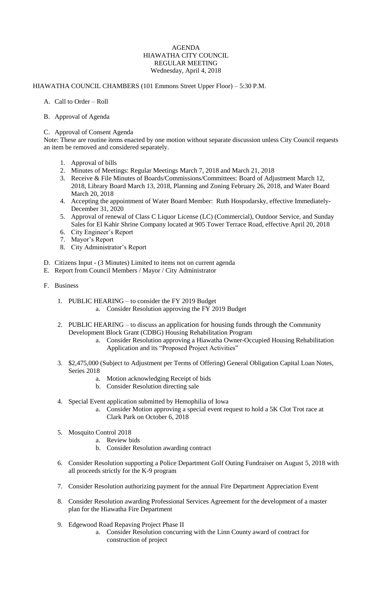## AGENDA HIAWATHA CITY COUNCIL REGULAR MEETING Wednesday, April 4, 2018

## HIAWATHA COUNCIL CHAMBERS (101 Emmons Street Upper Floor) – 5:30 P.M.

- A. Call to Order Roll
- B. Approval of Agenda

## C. Approval of Consent Agenda

Note: These are routine items enacted by one motion without separate discussion unless City Council requests an item be removed and considered separately.

- 1. Approval of bills
- 2. Minutes of Meetings: Regular Meetings March 7, 2018 and March 21, 2018
- 3. Receive & File Minutes of Boards/Commissions/Committees: Board of Adjustment March 12, 2018, Library Board March 13, 2018, Planning and Zoning February 26, 2018, and Water Board March 20, 2018
- 4. Accepting the appointment of Water Board Member: Ruth Hospodarsky, effective Immediately-December 31, 2020
- 5. Approval of renewal of Class C Liquor License (LC) (Commercial), Outdoor Service, and Sunday Sales for El Kahir Shrine Company located at 905 Tower Terrace Road, effective April 20, 2018
- 6. City Engineer's Report
- 7. Mayor's Report
- 8. City Administrator's Report
- D. Citizens Input (3 Minutes) Limited to items not on current agenda
- E. Report from Council Members / Mayor / City Administrator
- F. Business
	- 1. PUBLIC HEARING to consider the FY 2019 Budget
		- a. Consider Resolution approving the FY 2019 Budget
	- 2. PUBLIC HEARING to discuss an application for housing funds through the Community Development Block Grant (CDBG) Housing Rehabilitation Program
		- a. Consider Resolution approving a Hiawatha Owner-Occupied Housing Rehabilitation Application and its "Proposed Project Activities"
	- 3. \$2,475,000 (Subject to Adjustment per Terms of Offering) General Obligation Capital Loan Notes, Series 2018
		- a. Motion acknowledging Receipt of bids
		- b. Consider Resolution directing sale
	- 4. Special Event application submitted by Hemophilia of Iowa
		- a. Consider Motion approving a special event request to hold a 5K Clot Trot race at Clark Park on October 6, 2018
	- 5. Mosquito Control 2018
		- a. Review bids
		- b. Consider Resolution awarding contract
	- 6. Consider Resolution supporting a Police Department Golf Outing Fundraiser on August 5, 2018 with all proceeds strictly for the K-9 program
	- 7. Consider Resolution authorizing payment for the annual Fire Department Appreciation Event
	- 8. Consider Resolution awarding Professional Services Agreement for the development of a master plan for the Hiawatha Fire Department
	- 9. Edgewood Road Repaving Project Phase II
		- a. Consider Resolution concurring with the Linn County award of contract for construction of project